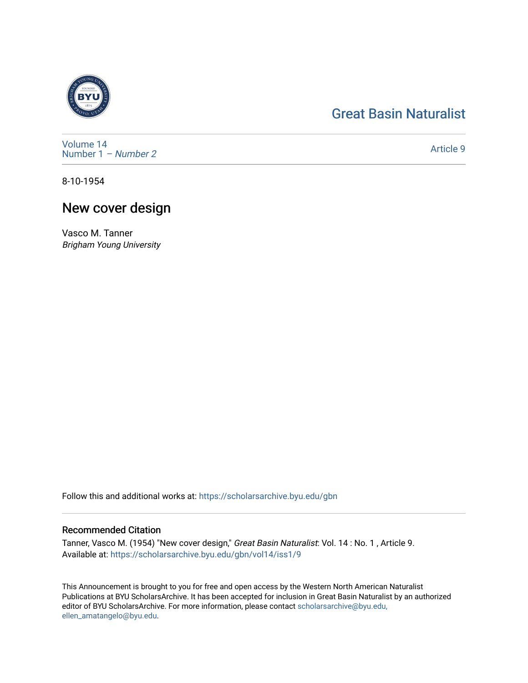## [Great Basin Naturalist](https://scholarsarchive.byu.edu/gbn)



[Volume 14](https://scholarsarchive.byu.edu/gbn/vol14) [Number 1](https://scholarsarchive.byu.edu/gbn/vol14/iss1) – Number 2

[Article 9](https://scholarsarchive.byu.edu/gbn/vol14/iss1/9) 

8-10-1954

## New cover design

Vasco M. Tanner Brigham Young University

Follow this and additional works at: [https://scholarsarchive.byu.edu/gbn](https://scholarsarchive.byu.edu/gbn?utm_source=scholarsarchive.byu.edu%2Fgbn%2Fvol14%2Fiss1%2F9&utm_medium=PDF&utm_campaign=PDFCoverPages) 

## Recommended Citation

Tanner, Vasco M. (1954) "New cover design," Great Basin Naturalist: Vol. 14 : No. 1, Article 9. Available at: [https://scholarsarchive.byu.edu/gbn/vol14/iss1/9](https://scholarsarchive.byu.edu/gbn/vol14/iss1/9?utm_source=scholarsarchive.byu.edu%2Fgbn%2Fvol14%2Fiss1%2F9&utm_medium=PDF&utm_campaign=PDFCoverPages)

This Announcement is brought to you for free and open access by the Western North American Naturalist Publications at BYU ScholarsArchive. It has been accepted for inclusion in Great Basin Naturalist by an authorized editor of BYU ScholarsArchive. For more information, please contact [scholarsarchive@byu.edu,](mailto:scholarsarchive@byu.edu,%20ellen_amatangelo@byu.edu) [ellen\\_amatangelo@byu.edu](mailto:scholarsarchive@byu.edu,%20ellen_amatangelo@byu.edu).